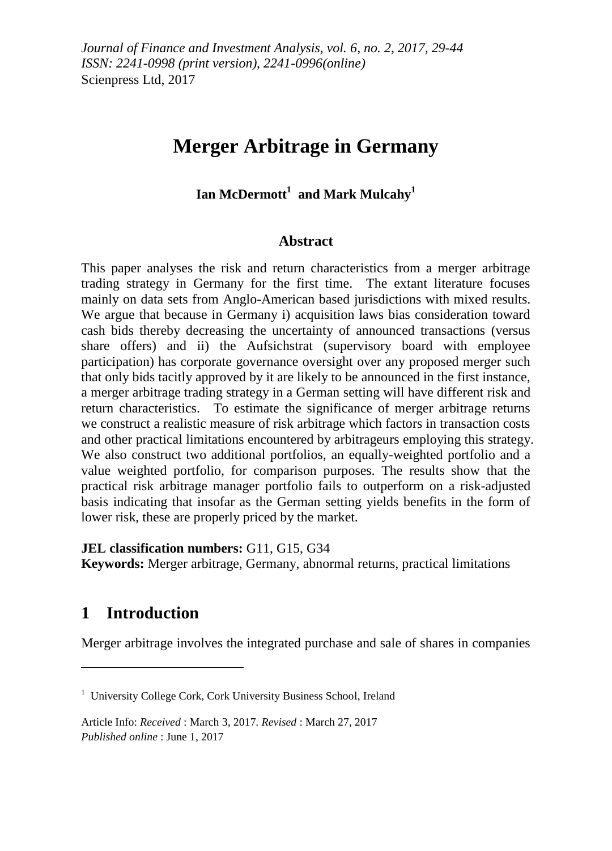# **Merger Arbitrage in Germany**

### **Ian McDermott<sup>1</sup> and Mark Mulcahy<sup>1</sup>**

#### **Abstract**

This paper analyses the risk and return characteristics from a merger arbitrage trading strategy in Germany for the first time. The extant literature focuses mainly on data sets from Anglo-American based jurisdictions with mixed results. We argue that because in Germany i) acquisition laws bias consideration toward cash bids thereby decreasing the uncertainty of announced transactions (versus share offers) and ii) the Aufsichstrat (supervisory board with employee participation) has corporate governance oversight over any proposed merger such that only bids tacitly approved by it are likely to be announced in the first instance, a merger arbitrage trading strategy in a German setting will have different risk and return characteristics. To estimate the significance of merger arbitrage returns we construct a realistic measure of risk arbitrage which factors in transaction costs and other practical limitations encountered by arbitrageurs employing this strategy. We also construct two additional portfolios, an equally-weighted portfolio and a value weighted portfolio, for comparison purposes. The results show that the practical risk arbitrage manager portfolio fails to outperform on a risk-adjusted basis indicating that insofar as the German setting yields benefits in the form of lower risk, these are properly priced by the market.

**JEL classification numbers:** G11, G15, G34

**Keywords:** Merger arbitrage, Germany, abnormal returns, practical limitations

## **1 Introduction**

1

Merger arbitrage involves the integrated purchase and sale of shares in companies

<sup>&</sup>lt;sup>1</sup> University College Cork, Cork University Business School, Ireland

Article Info: *Received* : March 3, 2017*. Revised* : March 27, 2017 *Published online* : June 1, 2017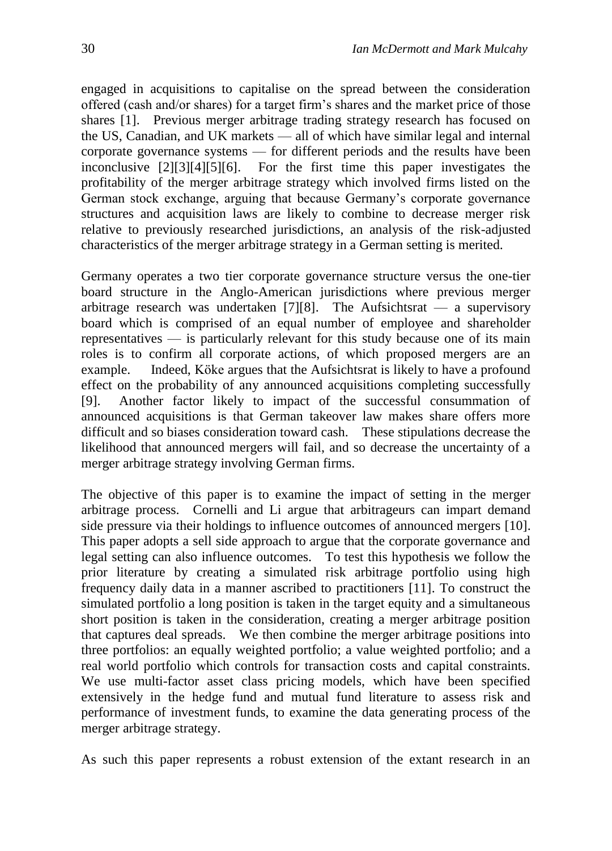engaged in acquisitions to capitalise on the spread between the consideration offered (cash and/or shares) for a target firm's shares and the market price of those shares [1]. Previous merger arbitrage trading strategy research has focused on the US, Canadian, and UK markets — all of which have similar legal and internal corporate governance systems — for different periods and the results have been inconclusive [2][3][4][5][6]. For the first time this paper investigates the profitability of the merger arbitrage strategy which involved firms listed on the German stock exchange, arguing that because Germany's corporate governance structures and acquisition laws are likely to combine to decrease merger risk relative to previously researched jurisdictions, an analysis of the risk-adjusted characteristics of the merger arbitrage strategy in a German setting is merited.

Germany operates a two tier corporate governance structure versus the one-tier board structure in the Anglo-American jurisdictions where previous merger arbitrage research was undertaken [7][8]. The Aufsichtsrat — a supervisory board which is comprised of an equal number of employee and shareholder representatives — is particularly relevant for this study because one of its main roles is to confirm all corporate actions, of which proposed mergers are an example. Indeed, Köke argues that the Aufsichtsrat is likely to have a profound effect on the probability of any announced acquisitions completing successfully [9]. Another factor likely to impact of the successful consummation of announced acquisitions is that German takeover law makes share offers more difficult and so biases consideration toward cash. These stipulations decrease the likelihood that announced mergers will fail, and so decrease the uncertainty of a merger arbitrage strategy involving German firms.

The objective of this paper is to examine the impact of setting in the merger arbitrage process. Cornelli and Li argue that arbitrageurs can impart demand side pressure via their holdings to influence outcomes of announced mergers [10]. This paper adopts a sell side approach to argue that the corporate governance and legal setting can also influence outcomes. To test this hypothesis we follow the prior literature by creating a simulated risk arbitrage portfolio using high frequency daily data in a manner ascribed to practitioners [11]. To construct the simulated portfolio a long position is taken in the target equity and a simultaneous short position is taken in the consideration, creating a merger arbitrage position that captures deal spreads. We then combine the merger arbitrage positions into three portfolios: an equally weighted portfolio; a value weighted portfolio; and a real world portfolio which controls for transaction costs and capital constraints. We use multi-factor asset class pricing models, which have been specified extensively in the hedge fund and mutual fund literature to assess risk and performance of investment funds, to examine the data generating process of the merger arbitrage strategy.

As such this paper represents a robust extension of the extant research in an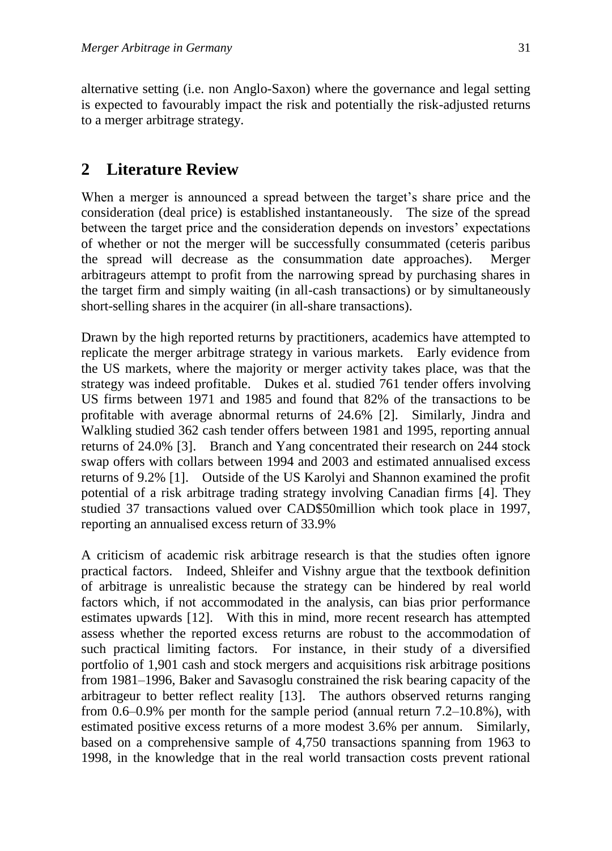alternative setting (i.e. non Anglo-Saxon) where the governance and legal setting is expected to favourably impact the risk and potentially the risk-adjusted returns to a merger arbitrage strategy.

# **2 Literature Review**

When a merger is announced a spread between the target's share price and the consideration (deal price) is established instantaneously. The size of the spread between the target price and the consideration depends on investors' expectations of whether or not the merger will be successfully consummated (ceteris paribus the spread will decrease as the consummation date approaches). Merger arbitrageurs attempt to profit from the narrowing spread by purchasing shares in the target firm and simply waiting (in all-cash transactions) or by simultaneously short-selling shares in the acquirer (in all-share transactions).

Drawn by the high reported returns by practitioners, academics have attempted to replicate the merger arbitrage strategy in various markets. Early evidence from the US markets, where the majority or merger activity takes place, was that the strategy was indeed profitable. Dukes et al. studied 761 tender offers involving US firms between 1971 and 1985 and found that 82% of the transactions to be profitable with average abnormal returns of 24.6% [2]. Similarly, Jindra and Walkling studied 362 cash tender offers between 1981 and 1995, reporting annual returns of 24.0% [3]. Branch and Yang concentrated their research on 244 stock swap offers with collars between 1994 and 2003 and estimated annualised excess returns of 9.2% [1]. Outside of the US Karolyi and Shannon examined the profit potential of a risk arbitrage trading strategy involving Canadian firms [4]. They studied 37 transactions valued over CAD\$50million which took place in 1997, reporting an annualised excess return of 33.9%

A criticism of academic risk arbitrage research is that the studies often ignore practical factors. Indeed, Shleifer and Vishny argue that the textbook definition of arbitrage is unrealistic because the strategy can be hindered by real world factors which, if not accommodated in the analysis, can bias prior performance estimates upwards [12]. With this in mind, more recent research has attempted assess whether the reported excess returns are robust to the accommodation of such practical limiting factors. For instance, in their study of a diversified portfolio of 1,901 cash and stock mergers and acquisitions risk arbitrage positions from 1981–1996, Baker and Savasoglu constrained the risk bearing capacity of the arbitrageur to better reflect reality [13]. The authors observed returns ranging from 0.6–0.9% per month for the sample period (annual return 7.2–10.8%), with estimated positive excess returns of a more modest 3.6% per annum. Similarly, based on a comprehensive sample of 4,750 transactions spanning from 1963 to 1998, in the knowledge that in the real world transaction costs prevent rational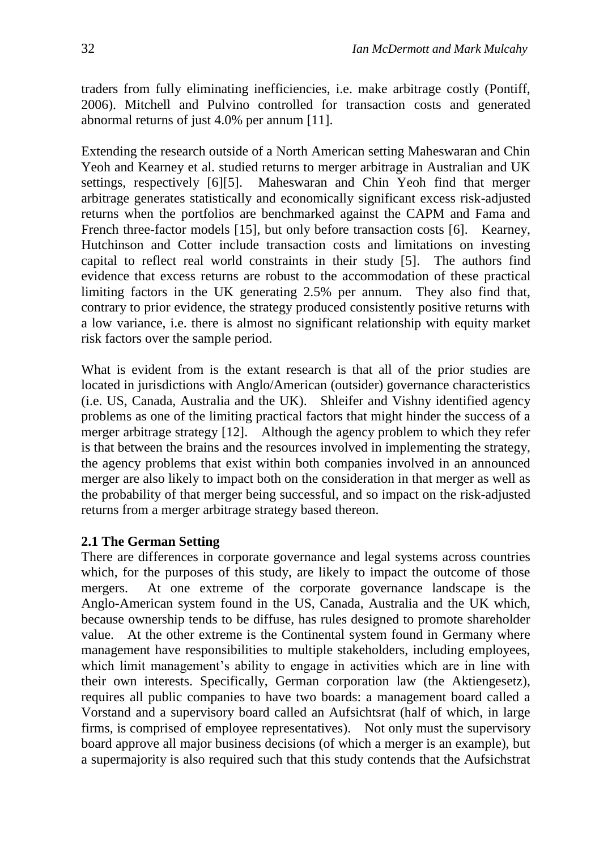traders from fully eliminating inefficiencies, i.e. make arbitrage costly (Pontiff, 2006). Mitchell and Pulvino controlled for transaction costs and generated abnormal returns of just 4.0% per annum [11].

Extending the research outside of a North American setting Maheswaran and Chin Yeoh and Kearney et al. studied returns to merger arbitrage in Australian and UK settings, respectively [6][5]. Maheswaran and Chin Yeoh find that merger arbitrage generates statistically and economically significant excess risk-adjusted returns when the portfolios are benchmarked against the CAPM and Fama and French three-factor models [15], but only before transaction costs [6]. Kearney, Hutchinson and Cotter include transaction costs and limitations on investing capital to reflect real world constraints in their study [5]. The authors find evidence that excess returns are robust to the accommodation of these practical limiting factors in the UK generating 2.5% per annum. They also find that, contrary to prior evidence, the strategy produced consistently positive returns with a low variance, i.e. there is almost no significant relationship with equity market risk factors over the sample period.

What is evident from is the extant research is that all of the prior studies are located in jurisdictions with Anglo/American (outsider) governance characteristics (i.e. US, Canada, Australia and the UK). Shleifer and Vishny identified agency problems as one of the limiting practical factors that might hinder the success of a merger arbitrage strategy [12]. Although the agency problem to which they refer is that between the brains and the resources involved in implementing the strategy, the agency problems that exist within both companies involved in an announced merger are also likely to impact both on the consideration in that merger as well as the probability of that merger being successful, and so impact on the risk-adjusted returns from a merger arbitrage strategy based thereon.

#### **2.1 The German Setting**

There are differences in corporate governance and legal systems across countries which, for the purposes of this study, are likely to impact the outcome of those mergers. At one extreme of the corporate governance landscape is the Anglo-American system found in the US, Canada, Australia and the UK which, because ownership tends to be diffuse, has rules designed to promote shareholder value. At the other extreme is the Continental system found in Germany where management have responsibilities to multiple stakeholders, including employees, which limit management's ability to engage in activities which are in line with their own interests. Specifically, German corporation law (the Aktiengesetz), requires all public companies to have two boards: a management board called a Vorstand and a supervisory board called an Aufsichtsrat (half of which, in large firms, is comprised of employee representatives). Not only must the supervisory board approve all major business decisions (of which a merger is an example), but a supermajority is also required such that this study contends that the Aufsichstrat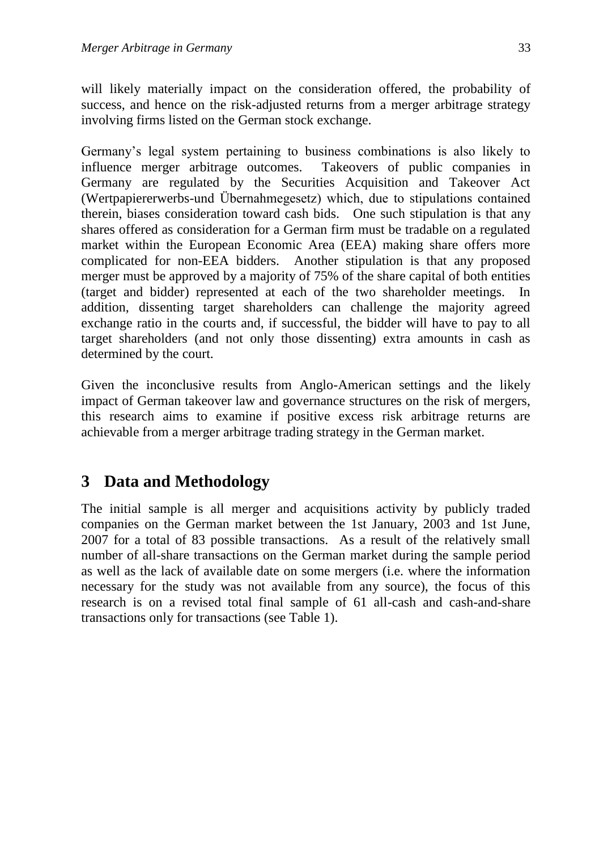will likely materially impact on the consideration offered, the probability of success, and hence on the risk-adjusted returns from a merger arbitrage strategy involving firms listed on the German stock exchange.

Germany's legal system pertaining to business combinations is also likely to influence merger arbitrage outcomes. Takeovers of public companies in Germany are regulated by the Securities Acquisition and Takeover Act (Wertpapiererwerbs-und Übernahmegesetz) which, due to stipulations contained therein, biases consideration toward cash bids. One such stipulation is that any shares offered as consideration for a German firm must be tradable on a regulated market within the European Economic Area (EEA) making share offers more complicated for non-EEA bidders. Another stipulation is that any proposed merger must be approved by a majority of 75% of the share capital of both entities (target and bidder) represented at each of the two shareholder meetings. In addition, dissenting target shareholders can challenge the majority agreed exchange ratio in the courts and, if successful, the bidder will have to pay to all target shareholders (and not only those dissenting) extra amounts in cash as determined by the court.

Given the inconclusive results from Anglo-American settings and the likely impact of German takeover law and governance structures on the risk of mergers, this research aims to examine if positive excess risk arbitrage returns are achievable from a merger arbitrage trading strategy in the German market.

## **3 Data and Methodology**

The initial sample is all merger and acquisitions activity by publicly traded companies on the German market between the 1st January, 2003 and 1st June, 2007 for a total of 83 possible transactions. As a result of the relatively small number of all-share transactions on the German market during the sample period as well as the lack of available date on some mergers (i.e. where the information necessary for the study was not available from any source), the focus of this research is on a revised total final sample of 61 all-cash and cash-and-share transactions only for transactions (see Table 1).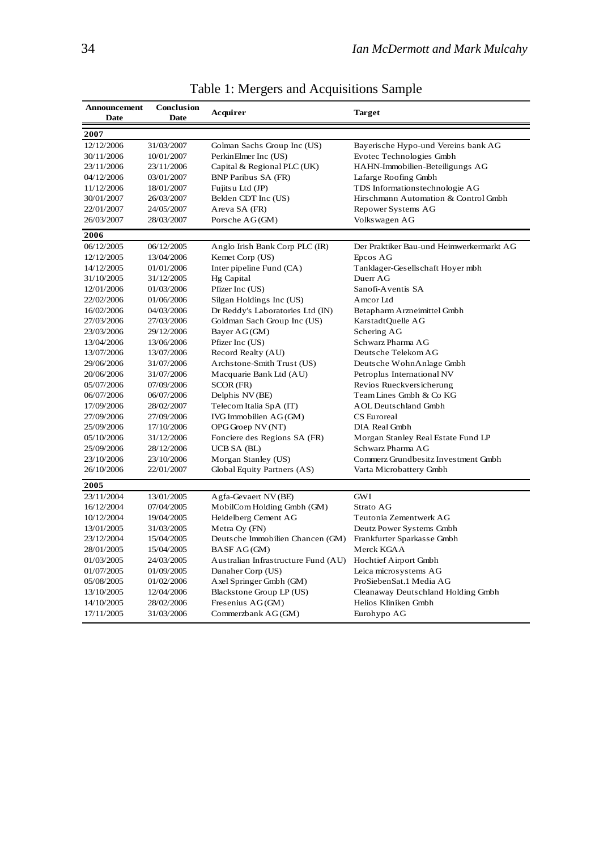| Announcement<br>Date | Conclusion<br>Date | Acquirer<br><b>Target</b>           |                                          |
|----------------------|--------------------|-------------------------------------|------------------------------------------|
| 2007                 |                    |                                     |                                          |
| 12/12/2006           | 31/03/2007         | Golman Sachs Group Inc (US)         | Bayerische Hypo-und Vereins bank AG      |
| 30/11/2006           | 10/01/2007         | PerkinElmer Inc (US)                | Evotec Technologies Gmbh                 |
| 23/11/2006           | 23/11/2006         | Capital & Regional PLC (UK)         | HAHN-Immobilien-Beteiligungs AG          |
| 04/12/2006           | 03/01/2007         | <b>BNP Paribus SA (FR)</b>          | Lafarge Roofing Gmbh                     |
| 11/12/2006           | 18/01/2007         | Fujitsu Ltd (JP)                    | TDS Informationstechnologie AG           |
| 30/01/2007           | 26/03/2007         | Belden CDT Inc (US)                 | Hirschmann Automation & Control Gmbh     |
| 22/01/2007           | 24/05/2007         | Areva SA (FR)                       | Repower Systems AG                       |
| 26/03/2007           | 28/03/2007         | Porsche AG(GM)                      | Volks wagen AG                           |
| 2006                 |                    |                                     |                                          |
| 06/12/2005           | 06/12/2005         | Anglo Irish Bank Corp PLC (IR)      | Der Praktiker Bau-und Heimwerkermarkt AG |
| 12/12/2005           | 13/04/2006         | Kemet Corp (US)                     | Epcos AG                                 |
| 14/12/2005           | 01/01/2006         | Inter pipeline Fund (CA)            | Tanklager-Gesellschaft Hoyer mbh         |
| 31/10/2005           | 31/12/2005         | Hg Capital                          | Duerr AG                                 |
| 12/01/2006           | 01/03/2006         | Pfizer Inc (US)                     | Sanofi-Aventis SA                        |
| 22/02/2006           | 01/06/2006         | Silgan Holdings Inc (US)            | Amcor Ltd                                |
| 16/02/2006           | 04/03/2006         | Dr Reddy's Laboratories Ltd (IN)    | Betapharm Arzneimittel Gmbh              |
| 27/03/2006           | 27/03/2006         | Goldman Sach Group Inc (US)         | KarstadtOuelle AG                        |
| 23/03/2006           | 29/12/2006         | Bayer AG(GM)                        | Schering AG                              |
| 13/04/2006           | 13/06/2006         | Pfizer Inc (US)                     | Schwarz Pharma AG                        |
| 13/07/2006           | 13/07/2006         | Record Realty (AU)                  | Deutsche Telekom AG                      |
| 29/06/2006           | 31/07/2006         | Archstone-Smith Trust (US)          | Deutsche WohnAnlage Gmbh                 |
| 20/06/2006           | 31/07/2006         | Macquarie Bank Ltd (AU)             | Petroplus International NV               |
| 05/07/2006           | 07/09/2006         | SCOR (FR)                           | Revios Rueckversicherung                 |
| 06/07/2006           | 06/07/2006         | Delphis NV (BE)                     | Team Lines Gmbh & Co KG                  |
| 17/09/2006           | 28/02/2007         | Telecom Italia SpA (IT)             | <b>AOL Deutschland Gmbh</b>              |
| 27/09/2006           | 27/09/2006         | IVG Immobilien AG(GM)               | CS Euroreal                              |
| 25/09/2006           | 17/10/2006         | OPG Groep NV (NT)                   | DIA Real Gmbh                            |
| 05/10/2006           | 31/12/2006         | Fonciere des Regions SA (FR)        | Morgan Stanley Real Estate Fund LP       |
| 25/09/2006           | 28/12/2006         | <b>UCB SA (BL)</b>                  | Schwarz Pharma AG                        |
| 23/10/2006           | 23/10/2006         | Morgan Stanley (US)                 | Commerz Grundbesitz Investment Gmbh      |
| 26/10/2006           | 22/01/2007         | Global Equity Partners (AS)         | Varta Microbattery Gmbh                  |
| 2005                 |                    |                                     |                                          |
| 23/11/2004           | 13/01/2005         | Agfa-Gevaert NV (BE)                | GWI                                      |
| 16/12/2004           | 07/04/2005         | MobilCom Holding Gmbh (GM)          | Strato AG                                |
| 10/12/2004           | 19/04/2005         | Heidelberg Cement AG                | Teutonia Zementwerk AG                   |
| 13/01/2005           | 31/03/2005         | Metra Oy (FN)                       | Deutz Power Systems Gmbh                 |
| 23/12/2004           | 15/04/2005         | Deutsche Immobilien Chancen (GM)    | Frankfurter Sparkasse Gmbh               |
| 28/01/2005           | 15/04/2005         | BASF AG(GM)                         | Merck KGAA                               |
| 01/03/2005           | 24/03/2005         | Australian Infrastructure Fund (AU) | Hochtief Airport Gmbh                    |
| 01/07/2005           | 01/09/2005         | Danaher Corp (US)                   | Leica microsystems AG                    |
| 05/08/2005           | 01/02/2006         | Axel Springer Gmbh (GM)             | ProSiebenSat.1 Media AG                  |
| 13/10/2005           | 12/04/2006         | Blackstone Group LP (US)            | Cleanaway Deutschland Holding Gmbh       |
| 14/10/2005           | 28/02/2006         | Fresenius AG(GM)                    | Helios Kliniken Gmbh                     |
| 17/11/2005           | 31/03/2006         | Commerzbank AG(GM)                  | Eurohypo AG                              |

Table 1: Mergers and Acquisitions Sample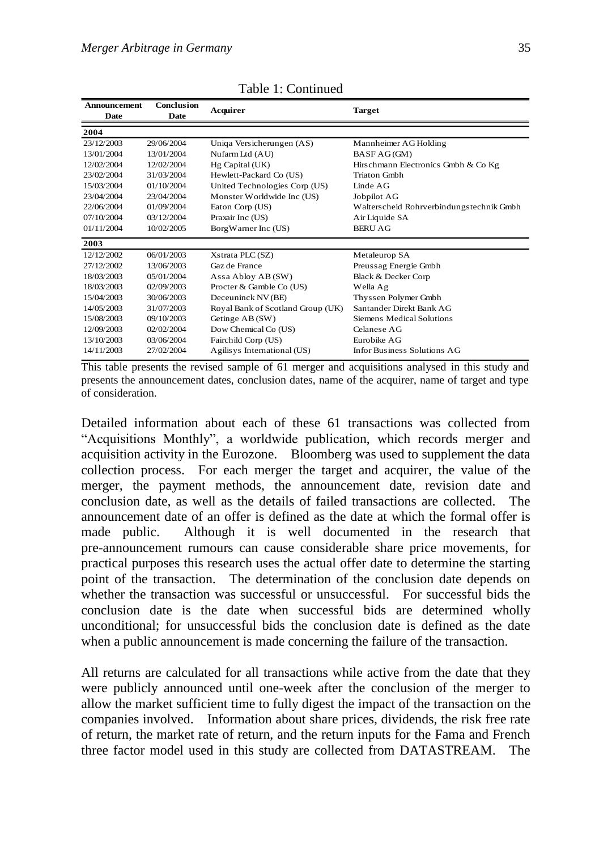| Announcement<br>Date | Conclusion<br>Date | Acquirer                          | Target                                   |  |
|----------------------|--------------------|-----------------------------------|------------------------------------------|--|
| 2004                 |                    |                                   |                                          |  |
| 23/12/2003           | 29/06/2004         | Uniqa Versicherungen (AS)         | Mannheimer AG Holding                    |  |
| 13/01/2004           | 13/01/2004         | Nufarm Ltd (AU)                   | BASF AG(GM)                              |  |
| 12/02/2004           | 12/02/2004         | Hg Capital (UK)                   | Hirschmann Electronics Gmbh & Co Kg      |  |
| 23/02/2004           | 31/03/2004         | Hewlett-Packard Co (US)           | <b>Triaton Gmbh</b>                      |  |
| 15/03/2004           | 01/10/2004         | United Technologies Corp (US)     | Linde AG                                 |  |
| 23/04/2004           | 23/04/2004         | Monster Worldwide Inc (US)        | Jobpilot AG                              |  |
| 22/06/2004           | 01/09/2004         | Eaton Corp (US)                   | Walterscheid Rohrverbindungstechnik Gmbh |  |
| 07/10/2004           | 03/12/2004         | Praxair Inc (US)                  | Air Liquide SA                           |  |
| 01/11/2004           | 10/02/2005         | BorgWarner Inc (US)               | <b>BERU AG</b>                           |  |
| 2003                 |                    |                                   |                                          |  |
| 12/12/2002           | 06/01/2003         | Xstrata PLC (SZ)                  | Metaleurop SA                            |  |
| 27/12/2002           | 13/06/2003         | Gaz de France                     | Preussag Energie Gmbh                    |  |
| 18/03/2003           | 05/01/2004         | Assa Abloy AB (SW)                | Black & Decker Corp                      |  |
| 18/03/2003           | 02/09/2003         | Procter & Gamble Co (US)          | Wella Ag                                 |  |
| 15/04/2003           | 30/06/2003         | Deceuninck NV (BE)                | Thyssen Polymer Gmbh                     |  |
| 14/05/2003           | 31/07/2003         | Royal Bank of Scotland Group (UK) | Santander Direkt Bank AG                 |  |
| 15/08/2003           | 09/10/2003         | Getinge AB (SW)                   | Siemens Medical Solutions                |  |
| 12/09/2003           | 02/02/2004         | Dow Chemical Co (US)              | Celanese AG                              |  |
| 13/10/2003           | 03/06/2004         | Fairchild Corp (US)               | <b>Furobike AG</b>                       |  |
| 14/11/2003           | 27/02/2004         | Agilisys International (US)       | Infor Business Solutions AG              |  |

Table 1: Continued

This table presents the revised sample of 61 merger and acquisitions analysed in this study and presents the announcement dates, conclusion dates, name of the acquirer, name of target and type of consideration.

Detailed information about each of these 61 transactions was collected from "Acquisitions Monthly", a worldwide publication, which records merger and acquisition activity in the Eurozone. Bloomberg was used to supplement the data collection process. For each merger the target and acquirer, the value of the merger, the payment methods, the announcement date, revision date and conclusion date, as well as the details of failed transactions are collected. The announcement date of an offer is defined as the date at which the formal offer is made public. Although it is well documented in the research that pre-announcement rumours can cause considerable share price movements, for practical purposes this research uses the actual offer date to determine the starting point of the transaction. The determination of the conclusion date depends on whether the transaction was successful or unsuccessful. For successful bids the conclusion date is the date when successful bids are determined wholly unconditional; for unsuccessful bids the conclusion date is defined as the date when a public announcement is made concerning the failure of the transaction.

All returns are calculated for all transactions while active from the date that they were publicly announced until one-week after the conclusion of the merger to allow the market sufficient time to fully digest the impact of the transaction on the companies involved. Information about share prices, dividends, the risk free rate of return, the market rate of return, and the return inputs for the Fama and French three factor model used in this study are collected from DATASTREAM. The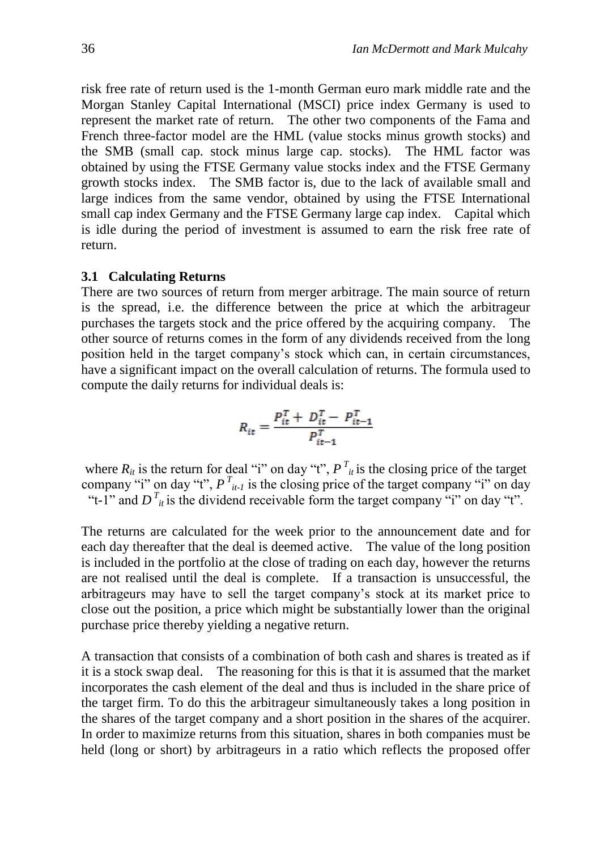risk free rate of return used is the 1-month German euro mark middle rate and the Morgan Stanley Capital International (MSCI) price index Germany is used to represent the market rate of return. The other two components of the Fama and French three-factor model are the HML (value stocks minus growth stocks) and the SMB (small cap. stock minus large cap. stocks). The HML factor was obtained by using the FTSE Germany value stocks index and the FTSE Germany growth stocks index. The SMB factor is, due to the lack of available small and large indices from the same vendor, obtained by using the FTSE International small cap index Germany and the FTSE Germany large cap index. Capital which is idle during the period of investment is assumed to earn the risk free rate of return.

#### **3.1 Calculating Returns**

There are two sources of return from merger arbitrage. The main source of return is the spread, i.e. the difference between the price at which the arbitrageur purchases the targets stock and the price offered by the acquiring company. The other source of returns comes in the form of any dividends received from the long position held in the target company's stock which can, in certain circumstances, have a significant impact on the overall calculation of returns. The formula used to compute the daily returns for individual deals is:

$$
R_{it} = \frac{P_{it}^T + D_{it}^T - P_{it-1}^T}{P_{it-1}^T}
$$

where  $R_{it}$  is the return for deal "i" on day "t",  $P_{it}^T$  is the closing price of the target company "i" on day "t",  $P^{T}_{i}$  is the closing price of the target company "i" on day "t-1" and  $D^T_{it}$  is the dividend receivable form the target company "i" on day "t".

The returns are calculated for the week prior to the announcement date and for each day thereafter that the deal is deemed active. The value of the long position is included in the portfolio at the close of trading on each day, however the returns are not realised until the deal is complete. If a transaction is unsuccessful, the arbitrageurs may have to sell the target company's stock at its market price to close out the position, a price which might be substantially lower than the original purchase price thereby yielding a negative return.

A transaction that consists of a combination of both cash and shares is treated as if it is a stock swap deal. The reasoning for this is that it is assumed that the market incorporates the cash element of the deal and thus is included in the share price of the target firm. To do this the arbitrageur simultaneously takes a long position in the shares of the target company and a short position in the shares of the acquirer. In order to maximize returns from this situation, shares in both companies must be held (long or short) by arbitrageurs in a ratio which reflects the proposed offer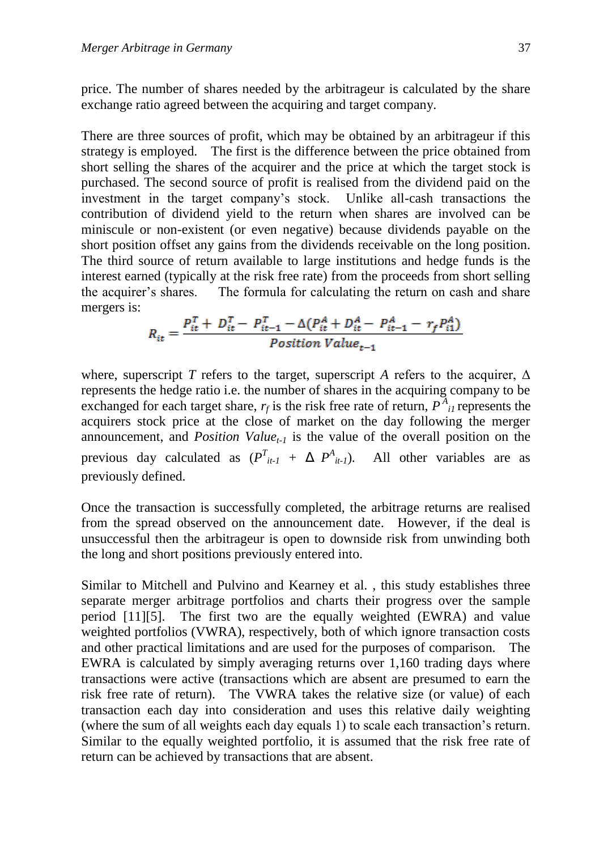price. The number of shares needed by the arbitrageur is calculated by the share exchange ratio agreed between the acquiring and target company.

There are three sources of profit, which may be obtained by an arbitrageur if this strategy is employed. The first is the difference between the price obtained from short selling the shares of the acquirer and the price at which the target stock is purchased. The second source of profit is realised from the dividend paid on the investment in the target company's stock. Unlike all-cash transactions the contribution of dividend yield to the return when shares are involved can be miniscule or non-existent (or even negative) because dividends payable on the short position offset any gains from the dividends receivable on the long position. The third source of return available to large institutions and hedge funds is the interest earned (typically at the risk free rate) from the proceeds from short selling the acquirer's shares. The formula for calculating the return on cash and share mergers is:

$$
R_{it} = \frac{P_{it}^{T} + D_{it}^{T} - P_{it-1}^{T} - \Delta(P_{it}^{A} + D_{it}^{A} - P_{it-1}^{A} - r_{f}P_{i1}^{A})}{Position\ Value_{t-1}}
$$

where, superscript *T* refers to the target, superscript *A* refers to the acquirer,  $\Delta$ represents the hedge ratio i.e. the number of shares in the acquiring company to be exchanged for each target share,  $r_f$  is the risk free rate of return,  $P_{i}^{A}$  represents the acquirers stock price at the close of market on the day following the merger announcement, and *Position Valuet-1* is the value of the overall position on the previous day calculated as  $(P^T_{it-1} + \Delta P^A_{it-1})$ . All other variables are as previously defined.

Once the transaction is successfully completed, the arbitrage returns are realised from the spread observed on the announcement date. However, if the deal is unsuccessful then the arbitrageur is open to downside risk from unwinding both the long and short positions previously entered into.

Similar to Mitchell and Pulvino and Kearney et al. , this study establishes three separate merger arbitrage portfolios and charts their progress over the sample period [11][5]. The first two are the equally weighted (EWRA) and value weighted portfolios (VWRA), respectively, both of which ignore transaction costs and other practical limitations and are used for the purposes of comparison. The EWRA is calculated by simply averaging returns over 1,160 trading days where transactions were active (transactions which are absent are presumed to earn the risk free rate of return). The VWRA takes the relative size (or value) of each transaction each day into consideration and uses this relative daily weighting (where the sum of all weights each day equals 1) to scale each transaction's return. Similar to the equally weighted portfolio, it is assumed that the risk free rate of return can be achieved by transactions that are absent.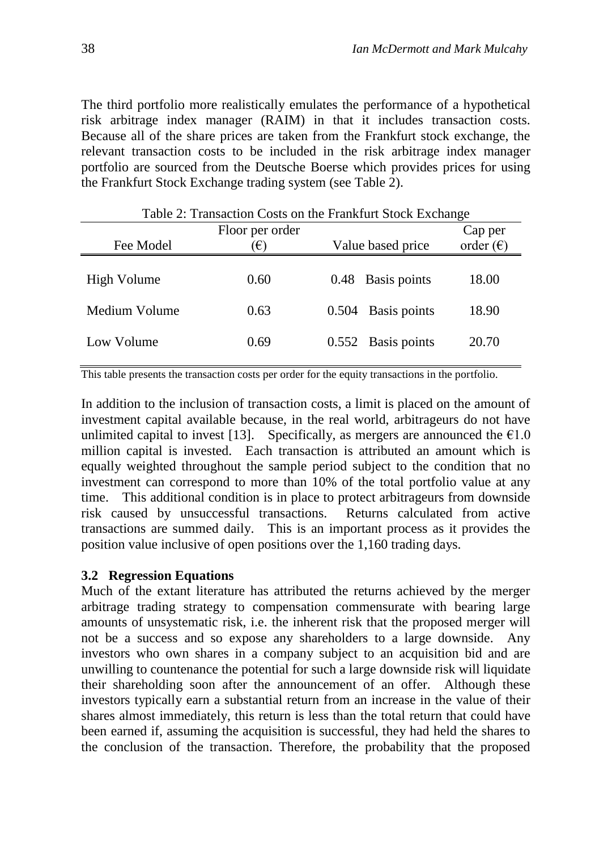The third portfolio more realistically emulates the performance of a hypothetical risk arbitrage index manager (RAIM) in that it includes transaction costs. Because all of the share prices are taken from the Frankfurt stock exchange, the relevant transaction costs to be included in the risk arbitrage index manager portfolio are sourced from the Deutsche Boerse which provides prices for using the Frankfurt Stock Exchange trading system (see Table 2).

| $1 \text{ and } 2$ . Transaction Costs on the Frammatt Stock Exempts |            |                   |                    |                    |  |  |
|----------------------------------------------------------------------|------------|-------------------|--------------------|--------------------|--|--|
| Floor per order                                                      |            |                   |                    | Cap per            |  |  |
| Fee Model                                                            | $\epsilon$ | Value based price |                    | order $(\epsilon)$ |  |  |
|                                                                      |            |                   |                    |                    |  |  |
| High Volume                                                          | 0.60       |                   | 0.48 Basis points  | 18.00              |  |  |
|                                                                      |            |                   |                    |                    |  |  |
| Medium Volume                                                        | 0.63       | 0.504             | Basis points       | 18.90              |  |  |
|                                                                      |            |                   |                    |                    |  |  |
| Low Volume                                                           | 0.69       |                   | 0.552 Basis points | 20.70              |  |  |
|                                                                      |            |                   |                    |                    |  |  |

Table 2: Transaction Costs on the Frankfurt Stock Exchange

This table presents the transaction costs per order for the equity transactions in the portfolio.

In addition to the inclusion of transaction costs, a limit is placed on the amount of investment capital available because, in the real world, arbitrageurs do not have unlimited capital to invest [13]. Specifically, as mergers are announced the  $\epsilon$ 1.0 million capital is invested. Each transaction is attributed an amount which is equally weighted throughout the sample period subject to the condition that no investment can correspond to more than 10% of the total portfolio value at any time. This additional condition is in place to protect arbitrageurs from downside risk caused by unsuccessful transactions. Returns calculated from active transactions are summed daily. This is an important process as it provides the position value inclusive of open positions over the 1,160 trading days.

#### **3.2 Regression Equations**

Much of the extant literature has attributed the returns achieved by the merger arbitrage trading strategy to compensation commensurate with bearing large amounts of unsystematic risk, i.e. the inherent risk that the proposed merger will not be a success and so expose any shareholders to a large downside. Any investors who own shares in a company subject to an acquisition bid and are unwilling to countenance the potential for such a large downside risk will liquidate their shareholding soon after the announcement of an offer. Although these investors typically earn a substantial return from an increase in the value of their shares almost immediately, this return is less than the total return that could have been earned if, assuming the acquisition is successful, they had held the shares to the conclusion of the transaction. Therefore, the probability that the proposed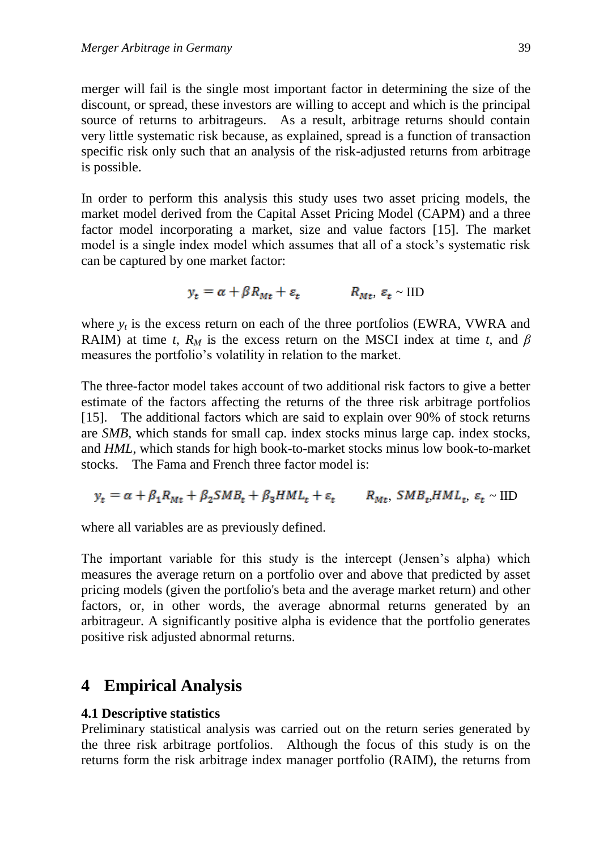merger will fail is the single most important factor in determining the size of the discount, or spread, these investors are willing to accept and which is the principal source of returns to arbitrageurs. As a result, arbitrage returns should contain very little systematic risk because, as explained, spread is a function of transaction specific risk only such that an analysis of the risk-adjusted returns from arbitrage is possible.

In order to perform this analysis this study uses two asset pricing models, the market model derived from the Capital Asset Pricing Model (CAPM) and a three factor model incorporating a market, size and value factors [15]. The market model is a single index model which assumes that all of a stock's systematic risk can be captured by one market factor:

$$
y_t = \alpha + \beta R_{Mt} + \varepsilon_t \qquad R_{Mt}, \ \varepsilon_t \sim \text{IID}
$$

where  $y_t$  is the excess return on each of the three portfolios (EWRA, VWRA and RAIM) at time *t*,  $R_M$  is the excess return on the MSCI index at time *t*, and  $\beta$ measures the portfolio's volatility in relation to the market.

The three-factor model takes account of two additional risk factors to give a better estimate of the factors affecting the returns of the three risk arbitrage portfolios [15]. The additional factors which are said to explain over 90% of stock returns are *SMB*, which stands for small cap. index stocks minus large cap. index stocks, and *HML*, which stands for high book-to-market stocks minus low book-to-market stocks. The Fama and French three factor model is:

$$
y_t = \alpha + \beta_1 R_{Mt} + \beta_2 SMB_t + \beta_3 HML_t + \varepsilon_t
$$
  $R_{Mt}$ ,  $SMB_t HML_t$ ,  $\varepsilon_t \sim$  IID

where all variables are as previously defined.

The important variable for this study is the intercept (Jensen's alpha) which measures the average return on a portfolio over and above that predicted by asset pricing models (given the portfolio's beta and the average market return) and other factors, or, in other words, the average abnormal returns generated by an arbitrageur. A significantly positive alpha is evidence that the portfolio generates positive risk adjusted abnormal returns.

### **4 Empirical Analysis**

#### **4.1 Descriptive statistics**

Preliminary statistical analysis was carried out on the return series generated by the three risk arbitrage portfolios. Although the focus of this study is on the returns form the risk arbitrage index manager portfolio (RAIM), the returns from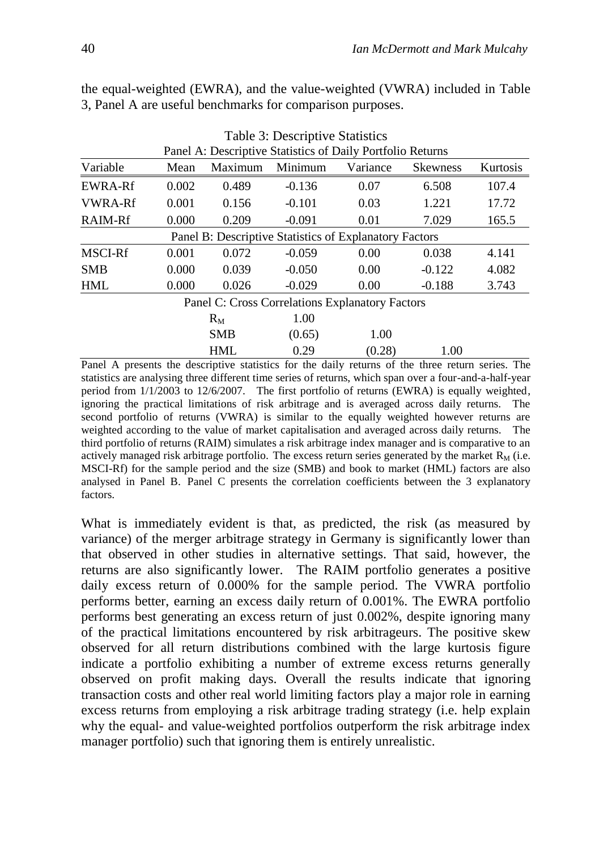|                                                            |                |             | Table 3: Descriptive Statistics |                                                        |                 |          |
|------------------------------------------------------------|----------------|-------------|---------------------------------|--------------------------------------------------------|-----------------|----------|
| Panel A: Descriptive Statistics of Daily Portfolio Returns |                |             |                                 |                                                        |                 |          |
| Variable                                                   | Mean           | Maximum     | Minimum                         | Variance                                               | <b>Skewness</b> | Kurtosis |
| <b>EWRA-Rf</b>                                             | 0.002          | 0.489       | $-0.136$                        | 0.07                                                   | 6.508           | 107.4    |
| <b>VWRA-Rf</b>                                             | 0.001          | 0.156       | $-0.101$                        | 0.03                                                   |                 | 17.72    |
| RAIM-Rf                                                    | 0.000<br>0.209 |             | $-0.091$                        | 0.01                                                   | 7.029           | 165.5    |
|                                                            |                |             |                                 | Panel B: Descriptive Statistics of Explanatory Factors |                 |          |
| <b>MSCI-Rf</b>                                             | 0.001          | 0.072       | $-0.059$                        | 0.00                                                   | 0.038           | 4.141    |
| <b>SMB</b>                                                 | 0.000          | 0.039       | $-0.050$                        | 0.00                                                   | $-0.122$        | 4.082    |
| <b>HML</b>                                                 | 0.000          | 0.026       | $-0.029$                        | 0.00                                                   | $-0.188$        | 3.743    |
|                                                            |                |             |                                 | Panel C: Cross Correlations Explanatory Factors        |                 |          |
|                                                            |                | $R_{\rm M}$ | 1.00                            |                                                        |                 |          |
|                                                            |                | <b>SMB</b>  | (0.65)                          | 1.00                                                   |                 |          |
|                                                            |                | <b>HML</b>  | 0.29                            | (0.28)                                                 | 1.00            |          |

the equal-weighted (EWRA), and the value-weighted (VWRA) included in Table 3, Panel A are useful benchmarks for comparison purposes.

Panel A presents the descriptive statistics for the daily returns of the three return series. The statistics are analysing three different time series of returns, which span over a four-and-a-half-year period from 1/1/2003 to 12/6/2007. The first portfolio of returns (EWRA) is equally weighted, ignoring the practical limitations of risk arbitrage and is averaged across daily returns. The second portfolio of returns (VWRA) is similar to the equally weighted however returns are weighted according to the value of market capitalisation and averaged across daily returns. The third portfolio of returns (RAIM) simulates a risk arbitrage index manager and is comparative to an actively managed risk arbitrage portfolio. The excess return series generated by the market  $R_M$  (i.e. MSCI-Rf) for the sample period and the size (SMB) and book to market (HML) factors are also analysed in Panel B. Panel C presents the correlation coefficients between the 3 explanatory factors.

What is immediately evident is that, as predicted, the risk (as measured by variance) of the merger arbitrage strategy in Germany is significantly lower than that observed in other studies in alternative settings. That said, however, the returns are also significantly lower. The RAIM portfolio generates a positive daily excess return of 0.000% for the sample period. The VWRA portfolio performs better, earning an excess daily return of 0.001%. The EWRA portfolio performs best generating an excess return of just 0.002%, despite ignoring many of the practical limitations encountered by risk arbitrageurs. The positive skew observed for all return distributions combined with the large kurtosis figure indicate a portfolio exhibiting a number of extreme excess returns generally observed on profit making days. Overall the results indicate that ignoring transaction costs and other real world limiting factors play a major role in earning excess returns from employing a risk arbitrage trading strategy (i.e. help explain why the equal- and value-weighted portfolios outperform the risk arbitrage index manager portfolio) such that ignoring them is entirely unrealistic.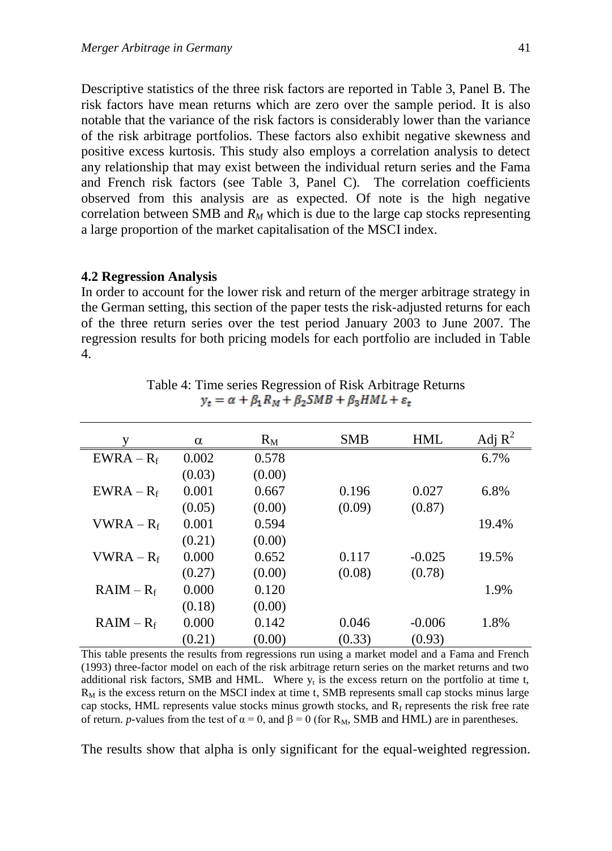Descriptive statistics of the three risk factors are reported in Table 3, Panel B. The risk factors have mean returns which are zero over the sample period. It is also notable that the variance of the risk factors is considerably lower than the variance of the risk arbitrage portfolios. These factors also exhibit negative skewness and positive excess kurtosis. This study also employs a correlation analysis to detect any relationship that may exist between the individual return series and the Fama and French risk factors (see Table 3, Panel C). The correlation coefficients observed from this analysis are as expected. Of note is the high negative correlation between SMB and  $R_M$  which is due to the large cap stocks representing

#### **4.2 Regression Analysis**

In order to account for the lower risk and return of the merger arbitrage strategy in the German setting, this section of the paper tests the risk-adjusted returns for each of the three return series over the test period January 2003 to June 2007. The regression results for both pricing models for each portfolio are included in Table 4.

a large proportion of the market capitalisation of the MSCI index.

| v            | $\alpha$ | $R_M$  | <b>SMB</b> | <b>HML</b> | Adj $R^2$ |
|--------------|----------|--------|------------|------------|-----------|
| $EWRA - R_f$ | 0.002    | 0.578  |            |            | 6.7%      |
|              | (0.03)   | (0.00) |            |            |           |
| $EWRA - R_f$ | 0.001    | 0.667  | 0.196      | 0.027      | 6.8%      |
|              | (0.05)   | (0.00) | (0.09)     | (0.87)     |           |
| $VWRA - R_f$ | 0.001    | 0.594  |            |            | 19.4%     |
|              | (0.21)   | (0.00) |            |            |           |
| $VWRA - R_f$ | 0.000    | 0.652  | 0.117      | $-0.025$   | 19.5%     |
|              | (0.27)   | (0.00) | (0.08)     | (0.78)     |           |
| $RAIM - R_f$ | 0.000    | 0.120  |            |            | 1.9%      |
|              | (0.18)   | (0.00) |            |            |           |
| $RAIM - R_f$ | 0.000    | 0.142  | 0.046      | $-0.006$   | 1.8%      |
|              | (0.21)   | (0.00) | (0.33)     | (0.93)     |           |

Table 4: Time series Regression of Risk Arbitrage Returns  $y_t = \alpha + \beta_1 R_M + \beta_2 SMB + \beta_3 HML + \varepsilon_t$ 

This table presents the results from regressions run using a market model and a Fama and French (1993) three-factor model on each of the risk arbitrage return series on the market returns and two additional risk factors, SMB and HML. Where  $y_t$  is the excess return on the portfolio at time t,  $R_M$  is the excess return on the MSCI index at time t, SMB represents small cap stocks minus large cap stocks, HML represents value stocks minus growth stocks, and  $R_f$  represents the risk free rate of return. *p*-values from the test of  $\alpha = 0$ , and  $\beta = 0$  (for R<sub>M</sub>, SMB and HML) are in parentheses.

The results show that alpha is only significant for the equal-weighted regression.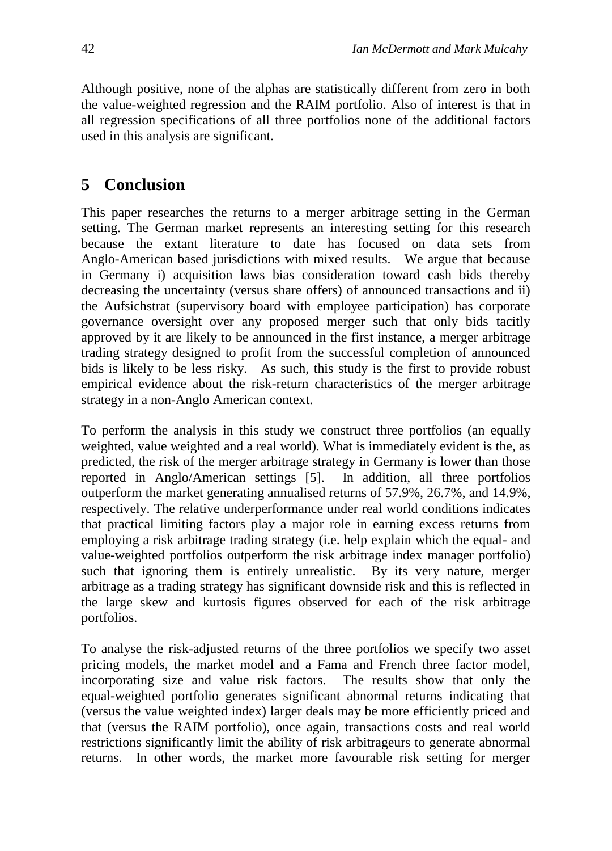Although positive, none of the alphas are statistically different from zero in both the value-weighted regression and the RAIM portfolio. Also of interest is that in all regression specifications of all three portfolios none of the additional factors used in this analysis are significant.

## **5 Conclusion**

This paper researches the returns to a merger arbitrage setting in the German setting. The German market represents an interesting setting for this research because the extant literature to date has focused on data sets from Anglo-American based jurisdictions with mixed results. We argue that because in Germany i) acquisition laws bias consideration toward cash bids thereby decreasing the uncertainty (versus share offers) of announced transactions and ii) the Aufsichstrat (supervisory board with employee participation) has corporate governance oversight over any proposed merger such that only bids tacitly approved by it are likely to be announced in the first instance, a merger arbitrage trading strategy designed to profit from the successful completion of announced bids is likely to be less risky. As such, this study is the first to provide robust empirical evidence about the risk-return characteristics of the merger arbitrage strategy in a non-Anglo American context.

To perform the analysis in this study we construct three portfolios (an equally weighted, value weighted and a real world). What is immediately evident is the, as predicted, the risk of the merger arbitrage strategy in Germany is lower than those reported in Anglo/American settings [5]. In addition, all three portfolios outperform the market generating annualised returns of 57.9%, 26.7%, and 14.9%, respectively. The relative underperformance under real world conditions indicates that practical limiting factors play a major role in earning excess returns from employing a risk arbitrage trading strategy (i.e. help explain which the equal- and value-weighted portfolios outperform the risk arbitrage index manager portfolio) such that ignoring them is entirely unrealistic. By its very nature, merger arbitrage as a trading strategy has significant downside risk and this is reflected in the large skew and kurtosis figures observed for each of the risk arbitrage portfolios.

To analyse the risk-adjusted returns of the three portfolios we specify two asset pricing models, the market model and a Fama and French three factor model, incorporating size and value risk factors. The results show that only the equal-weighted portfolio generates significant abnormal returns indicating that (versus the value weighted index) larger deals may be more efficiently priced and that (versus the RAIM portfolio), once again, transactions costs and real world restrictions significantly limit the ability of risk arbitrageurs to generate abnormal returns. In other words, the market more favourable risk setting for merger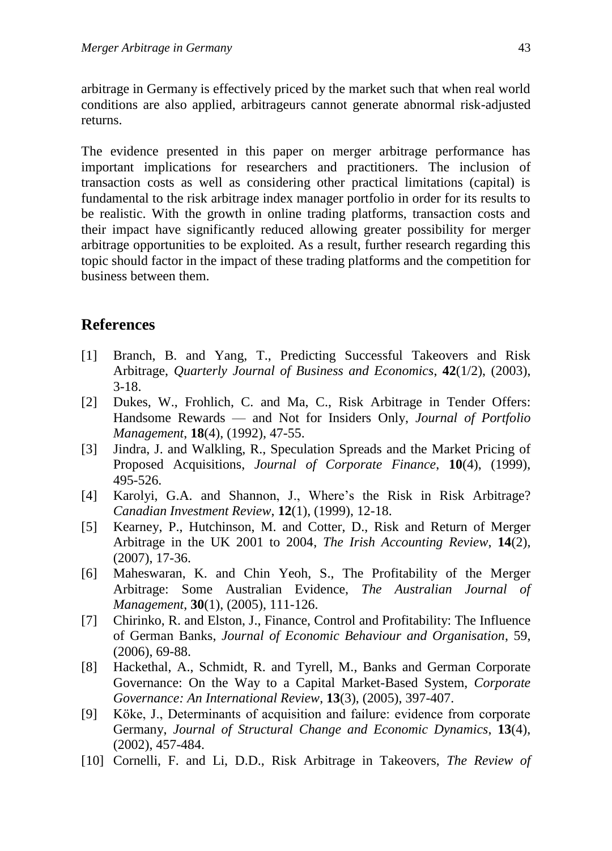arbitrage in Germany is effectively priced by the market such that when real world conditions are also applied, arbitrageurs cannot generate abnormal risk-adjusted returns.

The evidence presented in this paper on merger arbitrage performance has important implications for researchers and practitioners. The inclusion of transaction costs as well as considering other practical limitations (capital) is fundamental to the risk arbitrage index manager portfolio in order for its results to be realistic. With the growth in online trading platforms, transaction costs and their impact have significantly reduced allowing greater possibility for merger arbitrage opportunities to be exploited. As a result, further research regarding this topic should factor in the impact of these trading platforms and the competition for business between them.

### **References**

- [1] Branch, B. and Yang, T., Predicting Successful Takeovers and Risk Arbitrage, *Quarterly Journal of Business and Economics*, **42**(1/2), (2003), 3-18.
- [2] Dukes, W., Frohlich, C. and Ma, C., Risk Arbitrage in Tender Offers: Handsome Rewards — and Not for Insiders Only, *Journal of Portfolio Management*, **18**(4), (1992), 47-55.
- [3] Jindra, J. and Walkling, R., Speculation Spreads and the Market Pricing of Proposed Acquisitions, *Journal of Corporate Finance*, **10**(4), (1999), 495-526.
- [4] Karolyi, G.A. and Shannon, J., Where's the Risk in Risk Arbitrage? *Canadian Investment Review*, **12**(1), (1999), 12-18.
- [5] Kearney, P., Hutchinson, M. and Cotter, D., Risk and Return of Merger Arbitrage in the UK 2001 to 2004, *The Irish Accounting Review*, **14**(2), (2007), 17-36.
- [6] Maheswaran, K. and Chin Yeoh, S., The Profitability of the Merger Arbitrage: Some Australian Evidence, *The Australian Journal of Management*, **30**(1), (2005), 111-126.
- [7] Chirinko, R. and Elston, J., Finance, Control and Profitability: The Influence of German Banks, *Journal of Economic Behaviour and Organisation*, 59, (2006), 69-88.
- [8] Hackethal, A., Schmidt, R. and Tyrell, M., Banks and German Corporate Governance: On the Way to a Capital Market-Based System, *Corporate Governance: An International Review*, **13**(3), (2005), 397-407.
- [9] Köke, J., Determinants of acquisition and failure: evidence from corporate Germany, *Journal of Structural Change and Economic Dynamics*, **13**(4), (2002), 457-484.
- [10] Cornelli, F. and Li, D.D., Risk Arbitrage in Takeovers, *The Review of*